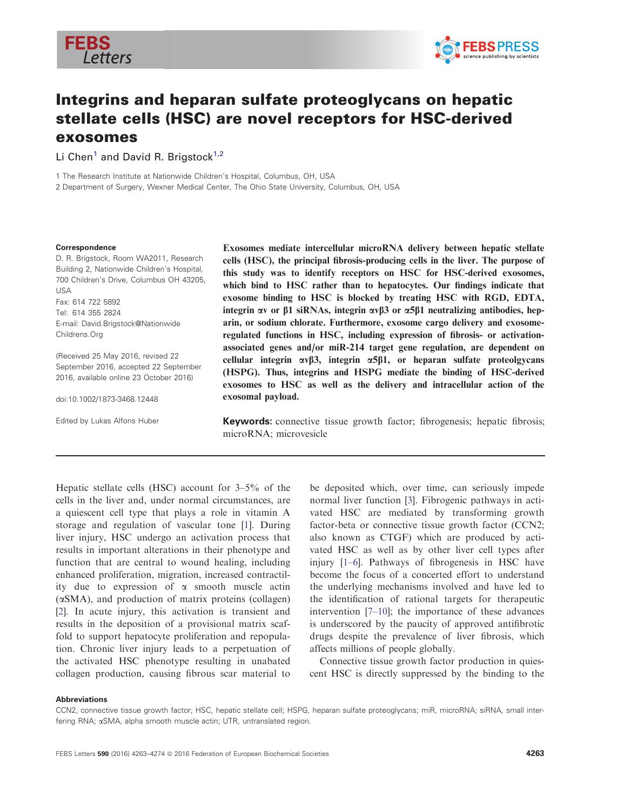



# Integrins and heparan sulfate proteoglycans on hepatic stellate cells (HSC) are novel receptors for HSC-derived exosomes

Li Chen<sup>1</sup> and David R. Brigstock<sup>1,2</sup>

1 The Research Institute at Nationwide Children's Hospital, Columbus, OH, USA

2 Department of Surgery, Wexner Medical Center, The Ohio State University, Columbus, OH, USA

#### Correspondence

D. R. Brigstock, Room WA2011, Research Building 2, Nationwide Children's Hospital, 700 Children's Drive, Columbus OH 43205, USA Fax: 614 722 5892 Tel: 614 355 2824 E-mail: David.Brigstock@Nationwide Childrens.Org

(Received 25 May 2016, revised 22 September 2016, accepted 22 September 2016, available online 23 October 2016)

doi:10.1002/1873-3468.12448

Edited by Lukas Alfons Huber

Exosomes mediate intercellular microRNA delivery between hepatic stellate cells (HSC), the principal fibrosis-producing cells in the liver. The purpose of this study was to identify receptors on HSC for HSC-derived exosomes, which bind to HSC rather than to hepatocytes. Our findings indicate that exosome binding to HSC is blocked by treating HSC with RGD, EDTA, integrin  $\alpha v$  or  $\beta 1$  siRNAs, integrin  $\alpha v \beta 3$  or  $\alpha 5\beta 1$  neutralizing antibodies, heparin, or sodium chlorate. Furthermore, exosome cargo delivery and exosomeregulated functions in HSC, including expression of fibrosis- or activationassociated genes and/or miR-214 target gene regulation, are dependent on cellular integrin  $\alpha v \beta 3$ , integrin  $\alpha 5\beta 1$ , or heparan sulfate proteolgycans (HSPG). Thus, integrins and HSPG mediate the binding of HSC-derived exosomes to HSC as well as the delivery and intracellular action of the exosomal payload.

Keywords: connective tissue growth factor; fibrogenesis; hepatic fibrosis; microRNA; microvesicle

Hepatic stellate cells (HSC) account for 3–5% of the cells in the liver and, under normal circumstances, are a quiescent cell type that plays a role in vitamin A storage and regulation of vascular tone [[1](#page-9-0)]. During liver injury, HSC undergo an activation process that results in important alterations in their phenotype and function that are central to wound healing, including enhanced proliferation, migration, increased contractility due to expression of  $\alpha$  smooth muscle actin  $(\alpha SMA)$ , and production of matrix proteins (collagen) [\[2](#page-9-0)]. In acute injury, this activation is transient and results in the deposition of a provisional matrix scaffold to support hepatocyte proliferation and repopulation. Chronic liver injury leads to a perpetuation of the activated HSC phenotype resulting in unabated collagen production, causing fibrous scar material to

be deposited which, over time, can seriously impede normal liver function [\[3](#page-9-0)]. Fibrogenic pathways in activated HSC are mediated by transforming growth factor-beta or connective tissue growth factor (CCN2; also known as CTGF) which are produced by activated HSC as well as by other liver cell types after injury [\[1](#page-9-0)–6]. Pathways of fibrogenesis in HSC have become the focus of a concerted effort to understand the underlying mechanisms involved and have led to the identification of rational targets for therapeutic intervention [\[7](#page-9-0)–[10](#page-9-0)]; the importance of these advances is underscored by the paucity of approved antifibrotic drugs despite the prevalence of liver fibrosis, which affects millions of people globally.

Connective tissue growth factor production in quiescent HSC is directly suppressed by the binding to the

#### Abbreviations

CCN2, connective tissue growth factor; HSC, hepatic stellate cell; HSPG, heparan sulfate proteoglycans; miR, microRNA; siRNA, small interfering RNA; aSMA, alpha smooth muscle actin; UTR, untranslated region.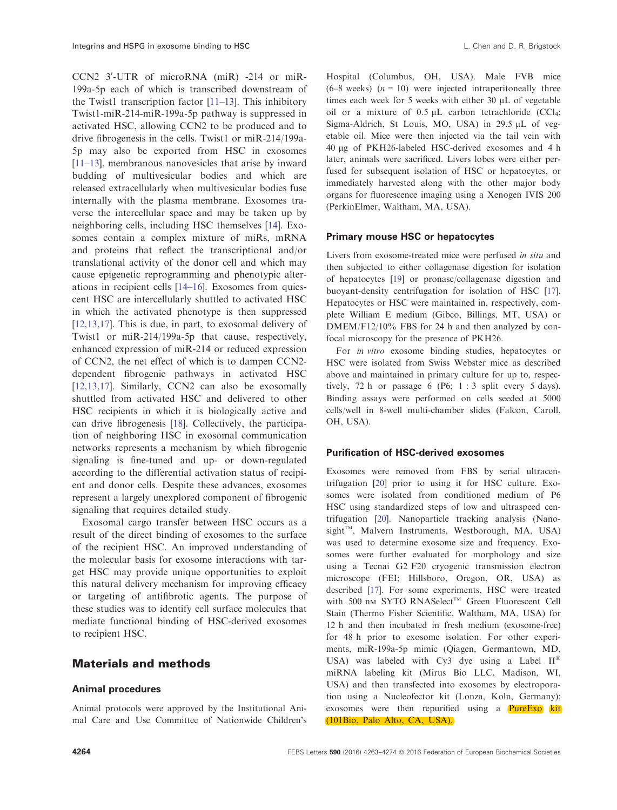CCN2 3'-UTR of microRNA (miR) -214 or miR-199a-5p each of which is transcribed downstream of the Twist1 transcription factor [\[11](#page-9-0)-13]. This inhibitory Twist1-miR-214-miR-199a-5p pathway is suppressed in activated HSC, allowing CCN2 to be produced and to drive fibrogenesis in the cells. Twist1 or miR-214/199a-5p may also be exported from HSC in exosomes [\[11](#page-9-0)–13], membranous nanovesicles that arise by inward budding of multivesicular bodies and which are released extracellularly when multivesicular bodies fuse internally with the plasma membrane. Exosomes traverse the intercellular space and may be taken up by neighboring cells, including HSC themselves [[14](#page-9-0)]. Exosomes contain a complex mixture of miRs, mRNA and proteins that reflect the transcriptional and/or translational activity of the donor cell and which may cause epigenetic reprogramming and phenotypic alterations in recipient cells [[14](#page-9-0)–[16](#page-9-0)]. Exosomes from quiescent HSC are intercellularly shuttled to activated HSC in which the activated phenotype is then suppressed [\[12,13,17\]](#page-9-0). This is due, in part, to exosomal delivery of Twist1 or miR-214/199a-5p that cause, respectively, enhanced expression of miR-214 or reduced expression of CCN2, the net effect of which is to dampen CCN2 dependent fibrogenic pathways in activated HSC [\[12,13,17\]](#page-9-0). Similarly, CCN2 can also be exosomally shuttled from activated HSC and delivered to other HSC recipients in which it is biologically active and can drive fibrogenesis [\[18\]](#page-10-0). Collectively, the participation of neighboring HSC in exosomal communication networks represents a mechanism by which fibrogenic signaling is fine-tuned and up- or down-regulated according to the differential activation status of recipient and donor cells. Despite these advances, exosomes represent a largely unexplored component of fibrogenic signaling that requires detailed study.

Exosomal cargo transfer between HSC occurs as a result of the direct binding of exosomes to the surface of the recipient HSC. An improved understanding of the molecular basis for exosome interactions with target HSC may provide unique opportunities to exploit this natural delivery mechanism for improving efficacy or targeting of antifibrotic agents. The purpose of these studies was to identify cell surface molecules that mediate functional binding of HSC-derived exosomes to recipient HSC.

## Materials and methods

### Animal procedures

Animal protocols were approved by the Institutional Animal Care and Use Committee of Nationwide Children's

Hospital (Columbus, OH, USA). Male FVB mice (6–8 weeks)  $(n = 10)$  were injected intraperitoneally three times each week for 5 weeks with either  $30 \mu L$  of vegetable oil or a mixture of  $0.5 \mu L$  carbon tetrachloride (CCl<sub>4</sub>; Sigma-Aldrich, St Louis, MO, USA) in 29.5  $\mu$ L of vegetable oil. Mice were then injected via the tail vein with 40 lg of PKH26-labeled HSC-derived exosomes and 4 h later, animals were sacrificed. Livers lobes were either perfused for subsequent isolation of HSC or hepatocytes, or immediately harvested along with the other major body organs for fluorescence imaging using a Xenogen IVIS 200 (PerkinElmer, Waltham, MA, USA).

#### Primary mouse HSC or hepatocytes

Livers from exosome-treated mice were perfused in situ and then subjected to either collagenase digestion for isolation of hepatocytes [\[19\]](#page-10-0) or pronase/collagenase digestion and buoyant-density centrifugation for isolation of HSC [[17\]](#page-9-0). Hepatocytes or HSC were maintained in, respectively, complete William E medium (Gibco, Billings, MT, USA) or DMEM/F12/10% FBS for 24 h and then analyzed by confocal microscopy for the presence of PKH26.

For in vitro exosome binding studies, hepatocytes or HSC were isolated from Swiss Webster mice as described above and maintained in primary culture for up to, respectively, 72 h or passage 6 (P6; 1 : 3 split every 5 days). Binding assays were performed on cells seeded at 5000 cells/well in 8-well multi-chamber slides (Falcon, Caroll, OH, USA).

### Purification of HSC-derived exosomes

Exosomes were removed from FBS by serial ultracentrifugation [\[20](#page-10-0)] prior to using it for HSC culture. Exosomes were isolated from conditioned medium of P6 HSC using standardized steps of low and ultraspeed centrifugation [\[20\]](#page-10-0). Nanoparticle tracking analysis (Nano $sight^{TM}$ , Malvern Instruments, Westborough, MA, USA) was used to determine exosome size and frequency. Exosomes were further evaluated for morphology and size using a Tecnai G2 F20 cryogenic transmission electron microscope (FEI; Hillsboro, Oregon, OR, USA) as described [\[17\]](#page-9-0). For some experiments, HSC were treated with 500 nm SYTO RNASelect™ Green Fluorescent Cell Stain (Thermo Fisher Scientific, Waltham, MA, USA) for 12 h and then incubated in fresh medium (exosome-free) for 48 h prior to exosome isolation. For other experiments, miR-199a-5p mimic (Qiagen, Germantown, MD, USA) was labeled with Cy3 dye using a Label  $II^{\circledast}$ miRNA labeling kit (Mirus Bio LLC, Madison, WI, USA) and then transfected into exosomes by electroporation using a Nucleofector kit (Lonza, Koln, Germany); exosomes were then repurified using a **PureExo** kit (101Bio, Palo Alto, CA, USA).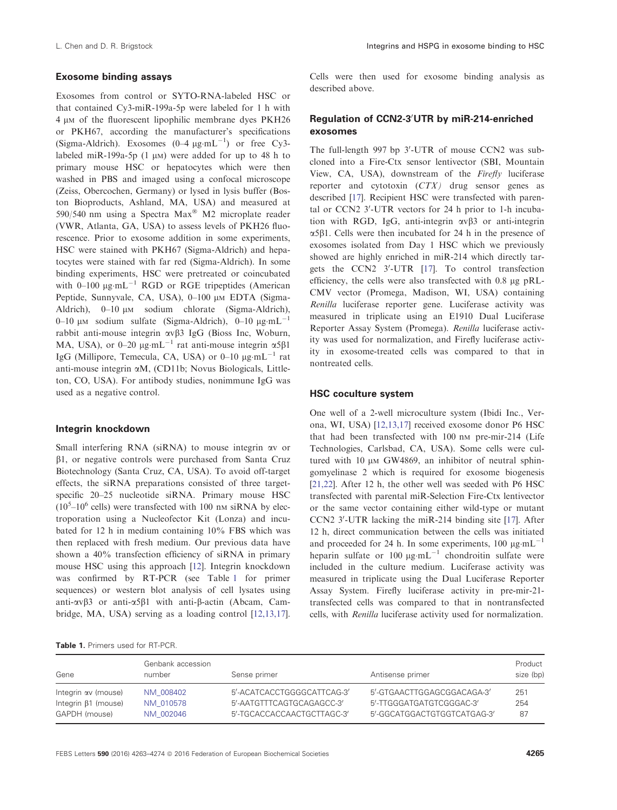### Exosome binding assays

Exosomes from control or SYTO-RNA-labeled HSC or that contained Cy3-miR-199a-5p were labeled for 1 h with 4 µm of the fluorescent lipophilic membrane dyes PKH26 or PKH67, according the manufacturer's specifications (Sigma-Aldrich). Exosomes  $(0-4 \mu g \cdot mL^{-1})$  or free Cy3labeled miR-199a-5p (1  $\mu$ M) were added for up to 48 h to primary mouse HSC or hepatocytes which were then washed in PBS and imaged using a confocal microscope (Zeiss, Obercochen, Germany) or lysed in lysis buffer (Boston Bioproducts, Ashland, MA, USA) and measured at 590/540 nm using a Spectra Max<sup>®</sup> M2 microplate reader (VWR, Atlanta, GA, USA) to assess levels of PKH26 fluorescence. Prior to exosome addition in some experiments, HSC were stained with PKH67 (Sigma-Aldrich) and hepatocytes were stained with far red (Sigma-Aldrich). In some binding experiments, HSC were pretreated or coincubated with  $0-100 \mu g \cdot mL^{-1}$  RGD or RGE tripeptides (American Peptide, Sunnyvale, CA, USA), 0-100 µm EDTA (Sigma-Aldrich),  $0-10 \mu M$  sodium chlorate (Sigma-Aldrich), 0–10  $\mu$ m sodium sulfate (Sigma-Aldrich), 0–10  $\mu$ g·mL<sup>-1</sup> rabbit anti-mouse integrin  $\alpha \nu \beta$ 3 IgG (Bioss Inc, Woburn, MA, USA), or 0-20  $\mu$ g-mL<sup>-1</sup> rat anti-mouse integrin  $\alpha$ 5 $\beta$ 1 IgG (Millipore, Temecula, CA, USA) or  $0-10 \mu g \text{mL}^{-1}$  rat anti-mouse integrin aM, (CD11b; Novus Biologicals, Littleton, CO, USA). For antibody studies, nonimmune IgG was used as a negative control.

#### Integrin knockdown

Small interfering RNA (siRNA) to mouse integrin av or  $\beta$ 1, or negative controls were purchased from Santa Cruz Biotechnology (Santa Cruz, CA, USA). To avoid off-target effects, the siRNA preparations consisted of three targetspecific 20–25 nucleotide siRNA. Primary mouse HSC  $(10<sup>5</sup>-10<sup>6</sup>$  cells) were transfected with 100 nm siRNA by electroporation using a Nucleofector Kit (Lonza) and incubated for 12 h in medium containing 10% FBS which was then replaced with fresh medium. Our previous data have shown a 40% transfection efficiency of siRNA in primary mouse HSC using this approach [[12](#page-9-0)]. Integrin knockdown was confirmed by RT-PCR (see Table 1 for primer sequences) or western blot analysis of cell lysates using anti- $\alpha \beta$ 3 or anti- $\alpha$ 5 $\beta$ 1 with anti- $\beta$ -actin (Abcam, Cambridge, MA, USA) serving as a loading control [[12,13,17\]](#page-9-0). Cells were then used for exosome binding analysis as described above.

### Regulation of CCN2-3'UTR by miR-214-enriched exosomes

The full-length 997 bp 3'-UTR of mouse CCN2 was subcloned into a Fire-Ctx sensor lentivector (SBI, Mountain View, CA, USA), downstream of the Firefly luciferase reporter and cytotoxin (CTX) drug sensor genes as described [[17](#page-9-0)]. Recipient HSC were transfected with parental or CCN2 3'-UTR vectors for 24 h prior to 1-h incubation with RGD, IgG, anti-integrin  $\alpha v \beta$ 3 or anti-integrin  $\alpha$ 5 $\beta$ 1. Cells were then incubated for 24 h in the presence of exosomes isolated from Day 1 HSC which we previously showed are highly enriched in miR-214 which directly tar-gets the CCN2 3'-UTR [\[17\]](#page-9-0). To control transfection efficiency, the cells were also transfected with  $0.8 \mu$ g pRL-CMV vector (Promega, Madison, WI, USA) containing Renilla luciferase reporter gene. Luciferase activity was measured in triplicate using an E1910 Dual Luciferase Reporter Assay System (Promega). Renilla luciferase activity was used for normalization, and Firefly luciferase activity in exosome-treated cells was compared to that in nontreated cells.

### HSC coculture system

One well of a 2-well microculture system (Ibidi Inc., Verona, WI, USA) [\[12,13,17](#page-9-0)] received exosome donor P6 HSC that had been transfected with 100 nm pre-mir-214 (Life Technologies, Carlsbad, CA, USA). Some cells were cultured with  $10 \mu M$  GW4869, an inhibitor of neutral sphingomyelinase 2 which is required for exosome biogenesis [\[21,22](#page-10-0)]. After 12 h, the other well was seeded with P6 HSC transfected with parental miR-Selection Fire-Ctx lentivector or the same vector containing either wild-type or mutant CCN2 3'-UTR lacking the miR-214 binding site [\[17\]](#page-9-0). After 12 h, direct communication between the cells was initiated and proceeded for 24 h. In some experiments,  $100 \mu g \cdot mL^{-1}$ heparin sulfate or  $100 \mu g \cdot mL^{-1}$  chondroitin sulfate were included in the culture medium. Luciferase activity was measured in triplicate using the Dual Luciferase Reporter Assay System. Firefly luciferase activity in pre-mir-21 transfected cells was compared to that in nontransfected cells, with Renilla luciferase activity used for normalization.

|  |  |  | <b>Table 1.</b> Primers used for RT-PCR. |
|--|--|--|------------------------------------------|
|--|--|--|------------------------------------------|

| Gene                       | Genbank accession<br>number | Sense primer               | Antisense primer            | Product<br>size (bp) |
|----------------------------|-----------------------------|----------------------------|-----------------------------|----------------------|
| Integrin av (mouse)        | NM 008402                   | 5'-ACATCACCTGGGGCATTCAG-3' | 5'-GTGAACTTGGAGCGGACAGA-3'  | 251                  |
| Integrin $\beta$ 1 (mouse) | NM 010578                   | 5'-AATGTTTCAGTGCAGAGCC-3'  | 5'-TTGGGATGATGTCGGGAC-3'    | 254                  |
| GAPDH (mouse)              | NM 002046                   | 5'-TGCACCACCAACTGCTTAGC-3' | 5'-GGCATGGACTGTGGTCATGAG-3' | 87                   |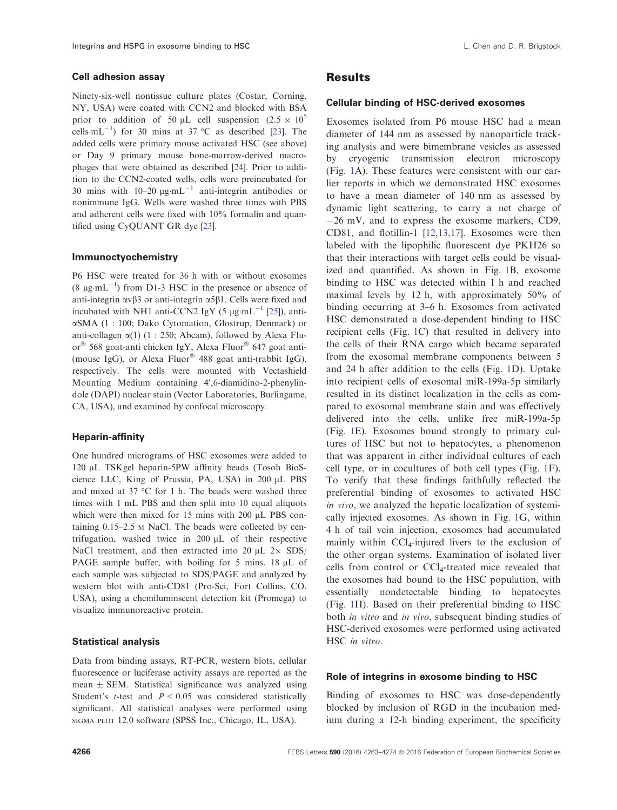Ninety-six-well nontissue culture plates (Costar, Corning, NY, USA) were coated with CCN2 and blocked with BSA prior to addition of 50  $\mu$ L cell suspension (2.5  $\times$  10<sup>5</sup> cells $\cdot$ mL<sup>-1</sup>) for 30 mins at 37 °C as described [\[23](#page-10-0)]. The added cells were primary mouse activated HSC (see above) or Day 9 primary mouse bone-marrow-derived macrophages that were obtained as described [\[24\]](#page-10-0). Prior to addition to the CCN2-coated wells, cells were preincubated for 30 mins with  $10-20 \mu g \cdot mL^{-1}$  anti-integrin antibodies or nonimmune IgG. Wells were washed three times with PBS and adherent cells were fixed with 10% formalin and quantified using CyQUANT GR dye [\[23\]](#page-10-0).

#### Immunoctyochemistry

P6 HSC were treated for 36 h with or without exosomes  $(8 \mu g \cdot mL^{-1})$  from D1-3 HSC in the presence or absence of anti-integrin  $\alpha \nu \beta$ 3 or anti-integrin  $\alpha$ 5 $\beta$ 1. Cells were fixed and incubated with NH1 anti-CCN2 IgY (5  $\mu$ g·mL<sup>-1</sup> [[25](#page-10-0)]), antiaSMA (1 : 100; Dako Cytomation, Glostrup, Denmark) or anti-collagen  $\alpha(1)$  (1 : 250; Abcam), followed by Alexa Fluor<sup>®</sup> 568 goat-anti chicken IgY, Alexa Fluor® 647 goat anti-(mouse IgG), or Alexa Fluor® 488 goat anti-(rabbit IgG), respectively. The cells were mounted with Vectashield Mounting Medium containing 4',6-diamidino-2-phenylindole (DAPI) nuclear stain (Vector Laboratories, Burlingame, CA, USA), and examined by confocal microscopy.

#### Heparin-affinity

One hundred micrograms of HSC exosomes were added to 120 µL TSKgel heparin-5PW affinity beads (Tosoh BioScience LLC, King of Prussia, PA, USA) in 200 µL PBS and mixed at 37 °C for 1 h. The beads were washed three times with 1 mL PBS and then split into 10 equal aliquots which were then mixed for 15 mins with 200  $\mu$ L PBS containing 0.15–2.5 <sup>M</sup> NaCl. The beads were collected by centrifugation, washed twice in 200  $\mu$ L of their respective NaCl treatment, and then extracted into 20  $\mu$ L 2 $\times$  SDS/ PAGE sample buffer, with boiling for 5 mins.  $18 \mu L$  of each sample was subjected to SDS/PAGE and analyzed by western blot with anti-CD81 (Pro-Sci, Fort Collins, CO, USA), using a chemiluminscent detection kit (Promega) to visualize immunoreactive protein.

#### Statistical analysis

Data from binding assays, RT-PCR, western blots, cellular fluorescence or luciferase activity assays are reported as the mean  $\pm$  SEM. Statistical significance was analyzed using Student's *t*-test and  $P < 0.05$  was considered statistically significant. All statistical analyses were performed using SIGMA PLOT 12.0 software (SPSS Inc., Chicago, IL, USA).

# **Results**

### Cellular binding of HSC-derived exosomes

Exosomes isolated from P6 mouse HSC had a mean diameter of 144 nm as assessed by nanoparticle tracking analysis and were bimembrane vesicles as assessed by cryogenic transmission electron microscopy (Fig. [1](#page-4-0)A). These features were consistent with our earlier reports in which we demonstrated HSC exosomes to have a mean diameter of 140 nm as assessed by dynamic light scattering, to carry a net charge of  $-26$  mV, and to express the exosome markers, CD9, CD81, and flotillin-1 [[12,13,17](#page-9-0)]. Exosomes were then labeled with the lipophilic fluorescent dye PKH26 so that their interactions with target cells could be visualized and quantified. As shown in Fig. [1](#page-4-0)B, exosome binding to HSC was detected within 1 h and reached maximal levels by 12 h, with approximately 50% of binding occurring at 3–6 h. Exosomes from activated HSC demonstrated a dose-dependent binding to HSC recipient cells (Fig. [1C](#page-4-0)) that resulted in delivery into the cells of their RNA cargo which became separated from the exosomal membrane components between 5 and 24 h after addition to the cells (Fig. [1D](#page-4-0)). Uptake into recipient cells of exosomal miR-199a-5p similarly resulted in its distinct localization in the cells as compared to exosomal membrane stain and was effectively delivered into the cells, unlike free miR-199a-5p (Fig. [1](#page-4-0)E). Exosomes bound strongly to primary cultures of HSC but not to hepatocytes, a phenomenon that was apparent in either individual cultures of each cell type, or in cocultures of both cell types (Fig. [1](#page-4-0)F). To verify that these findings faithfully reflected the preferential binding of exosomes to activated HSC in vivo, we analyzed the hepatic localization of systemically injected exosomes. As shown in Fig. [1](#page-4-0)G, within 4 h of tail vein injection, exosomes had accumulated mainly within CCl<sup>4</sup> -injured livers to the exclusion of the other organ systems. Examination of isolated liver cells from control or CCl<sup>4</sup> -treated mice revealed that the exosomes had bound to the HSC population, with essentially nondetectable binding to hepatocytes (Fig. [1](#page-4-0)H). Based on their preferential binding to HSC both in vitro and in vivo, subsequent binding studies of HSC-derived exosomes were performed using activated HSC in vitro.

#### Role of integrins in exosome binding to HSC

Binding of exosomes to HSC was dose-dependently blocked by inclusion of RGD in the incubation medium during a 12-h binding experiment, the specificity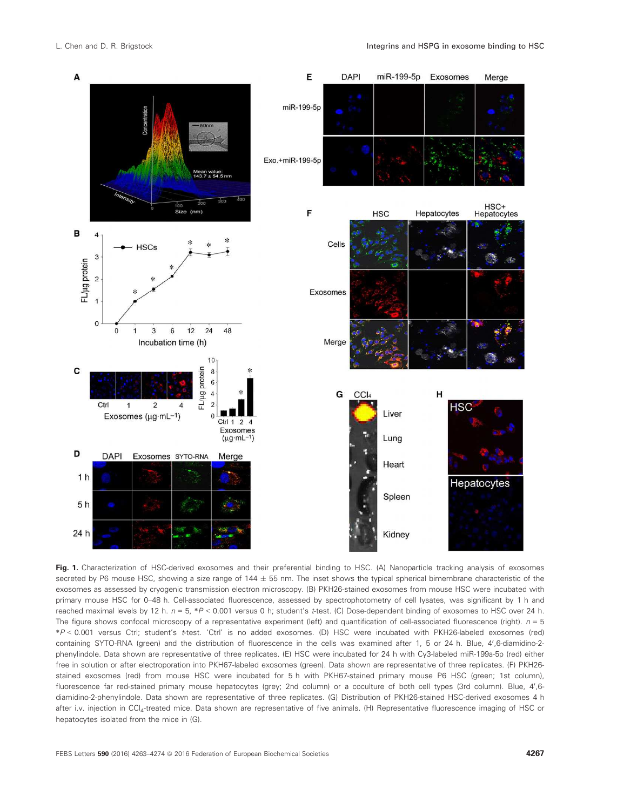<span id="page-4-0"></span>

Fig. 1. Characterization of HSC-derived exosomes and their preferential binding to HSC. (A) Nanoparticle tracking analysis of exosomes secreted by P6 mouse HSC, showing a size range of  $144 \pm 55$  nm. The inset shows the typical spherical bimembrane characteristic of the exosomes as assessed by cryogenic transmission electron microscopy. (B) PKH26-stained exosomes from mouse HSC were incubated with primary mouse HSC for 0–48 h. Cell-associated fluorescence, assessed by spectrophotometry of cell lysates, was significant by 1 h and reached maximal levels by 12 h.  $n = 5$ , \*P < 0.001 versus 0 h; student's t-test. (C) Dose-dependent binding of exosomes to HSC over 24 h. The figure shows confocal microscopy of a representative experiment (left) and quantification of cell-associated fluorescence (right).  $n = 5$ \*P < 0.001 versus Ctrl; student's t-test. 'Ctrl' is no added exosomes. (D) HSC were incubated with PKH26-labeled exosomes (red) containing SYTO-RNA (green) and the distribution of fluorescence in the cells was examined after 1, 5 or 24 h. Blue, 4',6-diamidino-2phenylindole. Data shown are representative of three replicates. (E) HSC were incubated for 24 h with Cy3-labeled miR-199a-5p (red) either free in solution or after electroporation into PKH67-labeled exosomes (green). Data shown are representative of three replicates. (F) PKH26 stained exosomes (red) from mouse HSC were incubated for 5 h with PKH67-stained primary mouse P6 HSC (green; 1st column), fluorescence far red-stained primary mouse hepatocytes (grey; 2nd column) or a coculture of both cell types (3rd column). Blue, 4',6diamidino-2-phenylindole. Data shown are representative of three replicates. (G) Distribution of PKH26-stained HSC-derived exosomes 4 h after i.v. injection in CCl<sub>4</sub>-treated mice. Data shown are representative of five animals. (H) Representative fluorescence imaging of HSC or hepatocytes isolated from the mice in (G).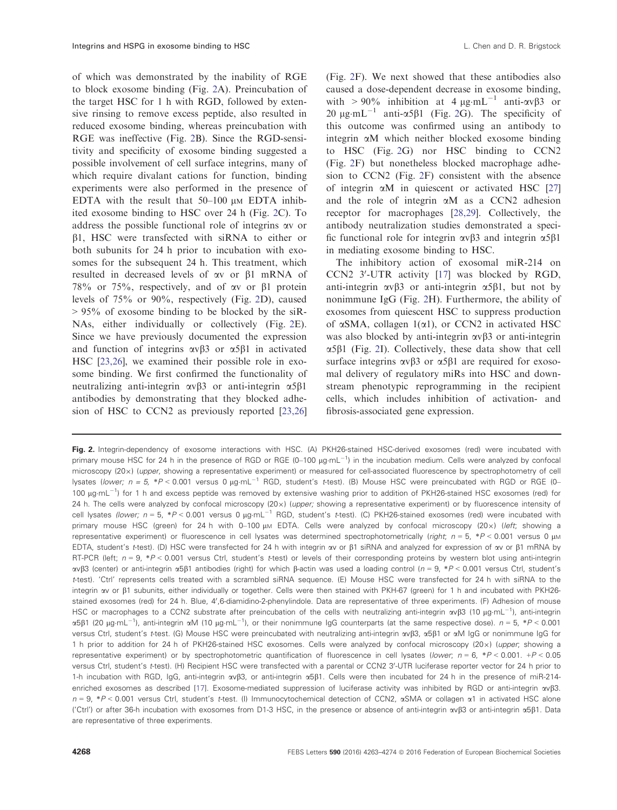of which was demonstrated by the inability of RGE to block exosome binding (Fig. 2A). Preincubation of the target HSC for 1 h with RGD, followed by extensive rinsing to remove excess peptide, also resulted in reduced exosome binding, whereas preincubation with RGE was ineffective (Fig. 2B). Since the RGD-sensitivity and specificity of exosome binding suggested a possible involvement of cell surface integrins, many of which require divalant cations for function, binding experiments were also performed in the presence of EDTA with the result that  $50-100 \mu M$  EDTA inhibited exosome binding to HSC over 24 h (Fig. 2C). To address the possible functional role of integrins av or  $\beta$ 1, HSC were transfected with siRNA to either or both subunits for 24 h prior to incubation with exosomes for the subsequent 24 h. This treatment, which resulted in decreased levels of av or b1 mRNA of 78% or 75%, respectively, and of  $\alpha v$  or  $\beta$ 1 protein levels of 75% or 90%, respectively (Fig. 2D), caused  $> 95\%$  of exosome binding to be blocked by the siR-NAs, either individually or collectively (Fig. 2E). Since we have previously documented the expression and function of integrins  $\alpha \nu \beta$ 3 or  $\alpha$ 5 $\beta$ 1 in activated HSC [[23,26](#page-10-0)], we examined their possible role in exosome binding. We first confirmed the functionality of neutralizing anti-integrin  $\alpha \beta$ 3 or anti-integrin  $\alpha$ 5 $\beta$ 1 antibodies by demonstrating that they blocked adhesion of HSC to CCN2 as previously reported [\[23,26\]](#page-10-0) (Fig. 2F). We next showed that these antibodies also caused a dose-dependent decrease in exosome binding, with > 90% inhibition at 4  $\mu$ g-mL<sup>-1</sup> anti- $\alpha v \beta$ 3 or  $20 \mu$ g·mL<sup>-1</sup> anti- $\alpha$ 5 $\beta$ 1 (Fig. 2G). The specificity of this outcome was confirmed using an antibody to integrin aM which neither blocked exosome binding to HSC (Fig. 2G) nor HSC binding to CCN2 (Fig. 2F) but nonetheless blocked macrophage adhesion to CCN2 (Fig. 2F) consistent with the absence of integrin  $\alpha$ M in quiescent or activated HSC [\[27\]](#page-10-0) and the role of integrin  $\alpha$ M as a CCN2 adhesion receptor for macrophages [[28,29](#page-10-0)]. Collectively, the antibody neutralization studies demonstrated a specific functional role for integrin  $\alpha \nu \beta$ 3 and integrin  $\alpha 5\beta 1$ in mediating exosome binding to HSC.

The inhibitory action of exosomal miR-214 on CCN2 3'-UTR activity [[17](#page-9-0)] was blocked by RGD, anti-integrin  $\alpha v\beta 3$  or anti-integrin  $\alpha 5\beta 1$ , but not by nonimmune IgG (Fig. 2H). Furthermore, the ability of exosomes from quiescent HSC to suppress production of  $\alpha$ SMA, collagen 1( $\alpha$ 1), or CCN2 in activated HSC was also blocked by anti-integrin  $\alpha v \beta$ 3 or anti-integrin  $\alpha$ 5 $\beta$ 1 (Fig. 2I). Collectively, these data show that cell surface integrins  $\alpha v \beta 3$  or  $\alpha 5\beta 1$  are required for exosomal delivery of regulatory miRs into HSC and downstream phenotypic reprogramming in the recipient cells, which includes inhibition of activation- and fibrosis-associated gene expression.

Fig. 2. Integrin-dependency of exosome interactions with HSC. (A) PKH26-stained HSC-derived exosomes (red) were incubated with primary mouse HSC for 24 h in the presence of RGD or RGE (0-100 µg·mL<sup>-1</sup>) in the incubation medium. Cells were analyzed by confocal microscopy (20x) (upper, showing a representative experiment) or measured for cell-associated fluorescence by spectrophotometry of cell lysates (lower;  $n = 5$ , \*P < 0.001 versus 0  $\mu$ g·mL<sup>-1</sup> RGD, student's t-test). (B) Mouse HSC were preincubated with RGD or RGE (0-100 µg·mL<sup>-1</sup>) for 1 h and excess peptide was removed by extensive washing prior to addition of PKH26-stained HSC exosomes (red) for 24 h. The cells were analyzed by confocal microscopy  $(20\times)$  (upper; showing a representative experiment) or by fluorescence intensity of cell lysates (lower; n = 5, \*P < 0.001 versus 0 µg·mL<sup>-1</sup> RGD, student's t-test). (C) PKH26-stained exosomes (red) were incubated with primary mouse HSC (green) for 24 h with 0–100  $\mu$ M EDTA. Cells were analyzed by confocal microscopy (20 $\times$ ) (left; showing a representative experiment) or fluorescence in cell lysates was determined spectrophotometrically (right;  $n = 5$ , \*P < 0.001 versus 0  $\mu$ M EDTA, student's t-test). (D) HSC were transfected for 24 h with integrin av or  $\beta$ 1 siRNA and analyzed for expression of av or  $\beta$ 1 mRNA by RT-PCR (left;  $n = 9$ ,  $*P < 0.001$  versus Ctrl, student's t-test) or levels of their corresponding proteins by western blot using anti-integrin ανβ3 (center) or anti-integrin α5β1 antibodies (right) for which β-actin was used a loading control (n = 9, \*P < 0.001 versus Ctrl, student's t-test). 'Ctrl' represents cells treated with a scrambled siRNA sequence. (E) Mouse HSC were transfected for 24 h with siRNA to the integrin av or  $\beta$ 1 subunits, either individually or together. Cells were then stained with PKH-67 (green) for 1 h and incubated with PKH26stained exosomes (red) for 24 h. Blue, 4',6-diamidino-2-phenylindole. Data are representative of three experiments. (F) Adhesion of mouse HSC or macrophages to a CCN2 substrate after preincubation of the cells with neutralizing anti-integrin  $\alpha v\beta3$  (10  $\mu$ g·mL<sup>-1</sup>), anti-integrin  $\alpha$ 5β1 (20 µg·mL<sup>-1</sup>), anti-integrin  $\alpha$ M (10 µg·mL<sup>-1</sup>), or their nonimmune IgG counterparts (at the same respective dose).  $n = 5$ , \*P < 0.001 versus Ctrl, student's t-test. (G) Mouse HSC were preincubated with neutralizing anti-integrin ανβ3, α5β1 or αM IgG or nonimmune IgG for 1 h prior to addition for 24 h of PKH26-stained HSC exosomes. Cells were analyzed by confocal microscopy (20x) (upper, showing a representative experiment) or by spectrophotometric quantification of fluorescence in cell lysates (lower;  $n = 6$ , \*P < 0.001. +P < 0.05 versus Ctrl, student's t-test). (H) Recipient HSC were transfected with a parental or CCN2 3'-UTR luciferase reporter vector for 24 h prior to 1-h incubation with RGD, IgG, anti-integrin avb3, or anti-integrin a5b1. Cells were then incubated for 24 h in the presence of miR-214- enriched exosomes as described [\[17\]](#page-9-0). Exosome-mediated suppression of luciferase activity was inhibited by RGD or anti-integrin  $\alpha$ yß3.  $n = 9$ , \*P < 0.001 versus Ctrl, student's t-test. (I) Immunocytochemical detection of CCN2,  $\alpha$ SMA or collagen  $\alpha$ 1 in activated HSC alone ('Ctrl') or after 36-h incubation with exosomes from D1-3 HSC, in the presence or absence of anti-integrin  $\alpha\beta$ 3 or anti-integrin  $\alpha$ 5 $\beta$ 1. Data are representative of three experiments.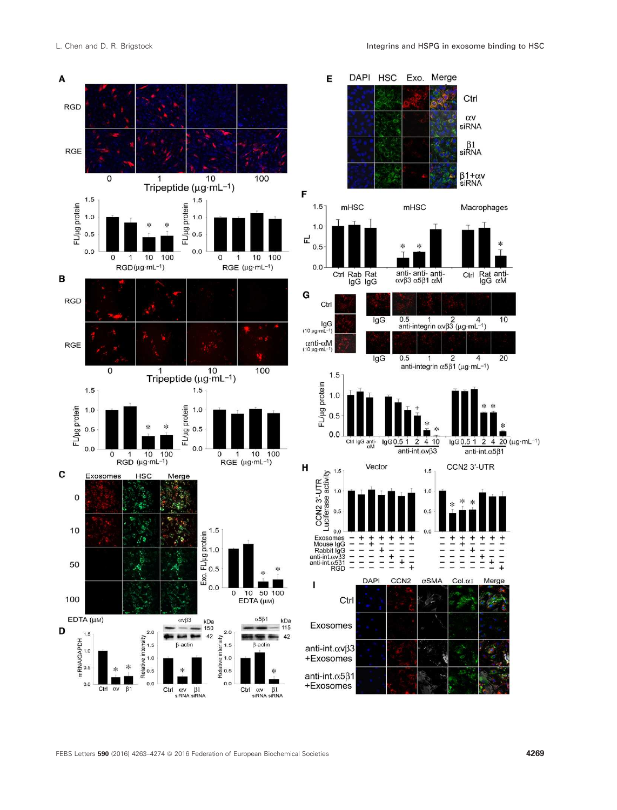



FEBS Letters 590 (2016) 4263-4274 © 2016 Federation of European Biochemical Societies 4269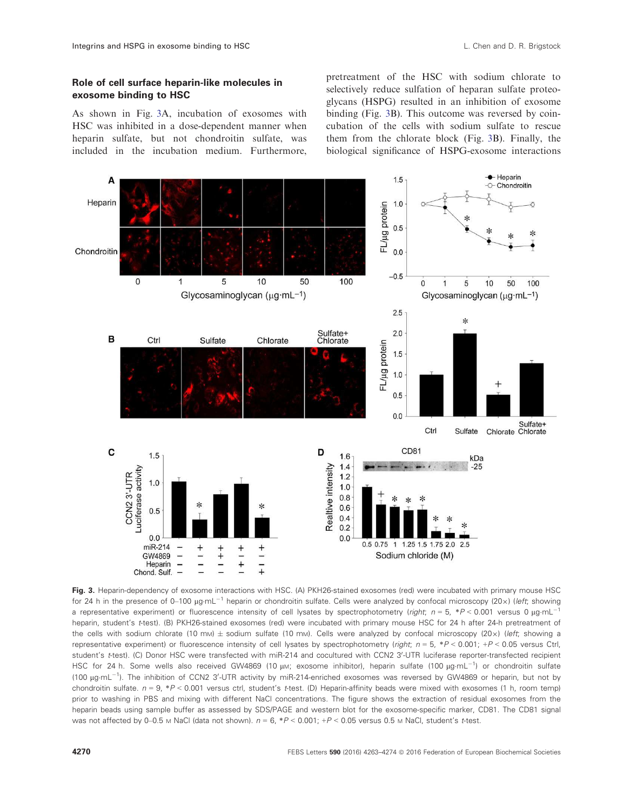# <span id="page-7-0"></span>Role of cell surface heparin-like molecules in exosome binding to HSC

As shown in Fig. 3A, incubation of exosomes with HSC was inhibited in a dose-dependent manner when heparin sulfate, but not chondroitin sulfate, was included in the incubation medium. Furthermore,

pretreatment of the HSC with sodium chlorate to selectively reduce sulfation of heparan sulfate proteoglycans (HSPG) resulted in an inhibition of exosome binding (Fig. 3B). This outcome was reversed by coincubation of the cells with sodium sulfate to rescue them from the chlorate block (Fig. 3B). Finally, the biological significance of HSPG-exosome interactions



Fig. 3. Heparin-dependency of exosome interactions with HSC. (A) PKH26-stained exosomes (red) were incubated with primary mouse HSC for 24 h in the presence of 0–100 µg·mL<sup>-1</sup> heparin or chondroitin sulfate. Cells were analyzed by confocal microscopy (20x) (left; showing a representative experiment) or fluorescence intensity of cell lysates by spectrophotometry (right;  $n = 5$ ,  $*P < 0.001$  versus 0  $\mu$ g·mL<sup>-1</sup> heparin, student's t-test). (B) PKH26-stained exosomes (red) were incubated with primary mouse HSC for 24 h after 24-h pretreatment of the cells with sodium chlorate (10 mm)  $\pm$  sodium sulfate (10 mm). Cells were analyzed by confocal microscopy (20x) (left; showing a representative experiment) or fluorescence intensity of cell lysates by spectrophotometry (right;  $n = 5$ , \*P < 0.001; +P < 0.05 versus Ctrl, student's t-test). (C) Donor HSC were transfected with miR-214 and cocultured with CCN2 3'-UTR luciferase reporter-transfected recipient HSC for 24 h. Some wells also received GW4869 (10 µm; exosome inhibitor), heparin sulfate (100 µg·mL<sup>-1</sup>) or chondroitin sulfate (100 µg·mL<sup>-1</sup>). The inhibition of CCN2 3'-UTR activity by miR-214-enriched exosomes was reversed by GW4869 or heparin, but not by chondroitin sulfate.  $n = 9$ ,  $P < 0.001$  versus ctrl, student's t-test. (D) Heparin-affinity beads were mixed with exosomes (1 h, room temp) prior to washing in PBS and mixing with different NaCl concentrations. The figure shows the extraction of residual exosomes from the heparin beads using sample buffer as assessed by SDS/PAGE and western blot for the exosome-specific marker, CD81. The CD81 signal was not affected by 0–0.5 M NaCl (data not shown).  $n = 6$ ,  $*P < 0.001$ ;  $+P < 0.05$  versus 0.5 M NaCl, student's t-test.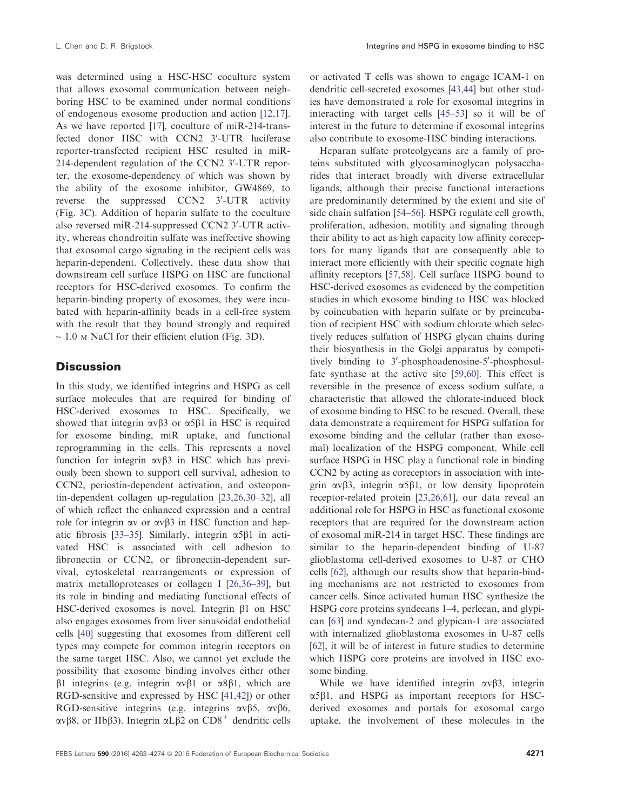was determined using a HSC-HSC coculture system that allows exosomal communication between neighboring HSC to be examined under normal conditions of endogenous exosome production and action [[12,17](#page-9-0)]. As we have reported [[17](#page-9-0)], coculture of miR-214-transfected donor HSC with CCN2 3'-UTR luciferase reporter-transfected recipient HSC resulted in miR-214-dependent regulation of the CCN2 3'-UTR reporter, the exosome-dependency of which was shown by the ability of the exosome inhibitor, GW4869, to reverse the suppressed  $CCN2$   $3'-UTR$  activity (Fig. [3](#page-7-0)C). Addition of heparin sulfate to the coculture also reversed miR-214-suppressed CCN2 3'-UTR activity, whereas chondroitin sulfate was ineffective showing that exosomal cargo signaling in the recipient cells was heparin-dependent. Collectively, these data show that downstream cell surface HSPG on HSC are functional receptors for HSC-derived exosomes. To confirm the heparin-binding property of exosomes, they were incubated with heparin-affinity beads in a cell-free system with the result that they bound strongly and required  $\sim$  1.0 M NaCl for their efficient elution (Fig. [3D](#page-7-0)).

# **Discussion**

In this study, we identified integrins and HSPG as cell surface molecules that are required for binding of HSC-derived exosomes to HSC. Specifically, we showed that integrin  $\alpha \beta$ 3 or  $\alpha$ 5 $\beta$ 1 in HSC is required for exosome binding, miR uptake, and functional reprogramming in the cells. This represents a novel function for integrin  $\alpha v \beta$ 3 in HSC which has previously been shown to support cell survival, adhesion to CCN2, periostin-dependent activation, and osteopontin-dependent collagen up-regulation [\[23,26,30](#page-10-0)–32], all of which reflect the enhanced expression and a central role for integrin  $\alpha v$  or  $\alpha v \beta$ 3 in HSC function and hep-atic fibrosis [\[33](#page-10-0)-35]. Similarly, integrin  $\alpha$ 5 $\beta$ 1 in activated HSC is associated with cell adhesion to fibronectin or CCN2, or fibronectin-dependent survival, cytoskeletal rearrangements or expression of matrix metalloproteases or collagen I [\[26,36](#page-10-0)–39], but its role in binding and mediating functional effects of HSC-derived exosomes is novel. Integrin  $\beta$ 1 on HSC also engages exosomes from liver sinusoidal endothelial cells [[40](#page-10-0)] suggesting that exosomes from different cell types may compete for common integrin receptors on the same target HSC. Also, we cannot yet exclude the possibility that exosome binding involves either other  $\beta$ 1 integrins (e.g. integrin  $\alpha \nu \beta$ 1 or  $\alpha$ 8 $\beta$ 1, which are RGD-sensitive and expressed by HSC [\[41,42\]](#page-11-0)) or other RGD-sensitive integrins (e.g. integrins  $\alpha \nu \beta 5$ ,  $\alpha \nu \beta 6$ ,  $\alpha v \beta 8$ , or IIb $\beta 3$ ). Integrin  $\alpha L \beta 2$  on CD8<sup>+</sup> dendritic cells or activated T cells was shown to engage ICAM-1 on dendritic cell-secreted exosomes [\[43,44\]](#page-11-0) but other studies have demonstrated a role for exosomal integrins in interacting with target cells [\[45](#page-11-0)–[53\]](#page-11-0) so it will be of interest in the future to determine if exosomal integrins also contribute to exosome-HSC binding interactions.

Heparan sulfate proteolgycans are a family of proteins substituted with glycosaminoglycan polysaccharides that interact broadly with diverse extracellular ligands, although their precise functional interactions are predominantly determined by the extent and site of side chain sulfation [[54](#page-11-0)–[56](#page-11-0)]. HSPG regulate cell growth, proliferation, adhesion, motility and signaling through their ability to act as high capacity low affinity coreceptors for many ligands that are consequently able to interact more efficiently with their specific cognate high affinity receptors [[57,58](#page-11-0)]. Cell surface HSPG bound to HSC-derived exosomes as evidenced by the competition studies in which exosome binding to HSC was blocked by coincubation with heparin sulfate or by preincubation of recipient HSC with sodium chlorate which selectively reduces sulfation of HSPG glycan chains during their biosynthesis in the Golgi apparatus by competitively binding to 3'-phosphoadenosine-5'-phosphosulfate synthase at the active site [\[59,60\]](#page-11-0). This effect is reversible in the presence of excess sodium sulfate, a characteristic that allowed the chlorate-induced block of exosome binding to HSC to be rescued. Overall, these data demonstrate a requirement for HSPG sulfation for exosome binding and the cellular (rather than exosomal) localization of the HSPG component. While cell surface HSPG in HSC play a functional role in binding CCN2 by acting as coreceptors in association with integrin  $\alpha \beta$ 3, integrin  $\alpha$ 5 $\beta$ 1, or low density lipoprotein receptor-related protein [[23,26,61](#page-10-0)], our data reveal an additional role for HSPG in HSC as functional exosome receptors that are required for the downstream action of exosomal miR-214 in target HSC. These findings are similar to the heparin-dependent binding of U-87 glioblastoma cell-derived exosomes to U-87 or CHO cells [\[62](#page-11-0)], although our results show that heparin-binding mechanisms are not restricted to exosomes from cancer cells. Since activated human HSC synthesize the HSPG core proteins syndecans 1–4, perlecan, and glypican [[63](#page-11-0)] and syndecan-2 and glypican-1 are associated with internalized glioblastoma exosomes in U-87 cells [[62](#page-11-0)], it will be of interest in future studies to determine which HSPG core proteins are involved in HSC exosome binding.

While we have identified integrin  $\alpha \nu \beta$ 3, integrin  $\alpha$ 5 $\beta$ 1, and HSPG as important receptors for HSCderived exosomes and portals for exosomal cargo uptake, the involvement of these molecules in the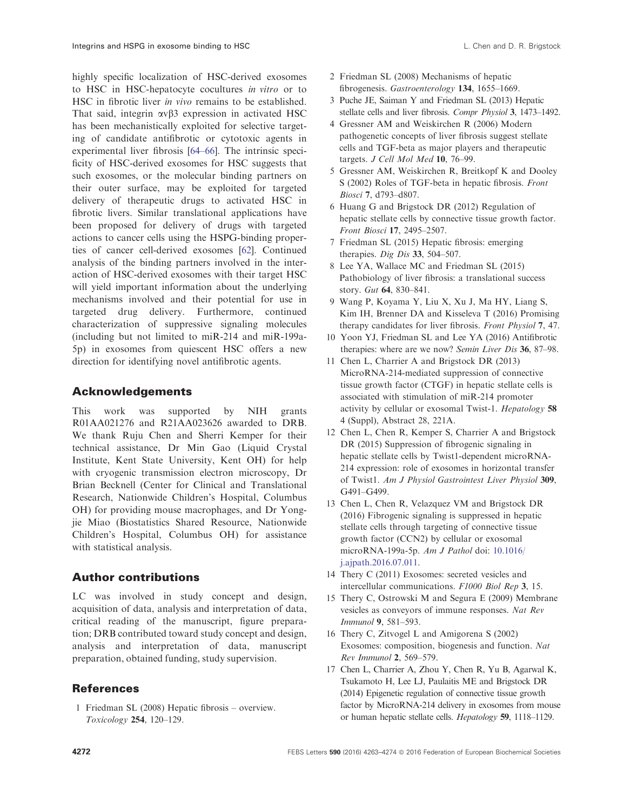<span id="page-9-0"></span>highly specific localization of HSC-derived exosomes to HSC in HSC-hepatocyte cocultures in vitro or to HSC in fibrotic liver in vivo remains to be established. That said, integrin  $\alpha v \beta$ 3 expression in activated HSC has been mechanistically exploited for selective targeting of candidate antifibrotic or cytotoxic agents in experimental liver fibrosis [[64](#page-11-0)–66]. The intrinsic specificity of HSC-derived exosomes for HSC suggests that such exosomes, or the molecular binding partners on their outer surface, may be exploited for targeted delivery of therapeutic drugs to activated HSC in fibrotic livers. Similar translational applications have been proposed for delivery of drugs with targeted actions to cancer cells using the HSPG-binding properties of cancer cell-derived exosomes [\[62\]](#page-11-0). Continued analysis of the binding partners involved in the interaction of HSC-derived exosomes with their target HSC will yield important information about the underlying mechanisms involved and their potential for use in targeted drug delivery. Furthermore, continued characterization of suppressive signaling molecules (including but not limited to miR-214 and miR-199a-5p) in exosomes from quiescent HSC offers a new direction for identifying novel antifibrotic agents.

# Acknowledgements

This work was supported by NIH grants R01AA021276 and R21AA023626 awarded to DRB. We thank Ruju Chen and Sherri Kemper for their technical assistance, Dr Min Gao (Liquid Crystal Institute, Kent State University, Kent OH) for help with cryogenic transmission electron microscopy, Dr Brian Becknell (Center for Clinical and Translational Research, Nationwide Children's Hospital, Columbus OH) for providing mouse macrophages, and Dr Yongjie Miao (Biostatistics Shared Resource, Nationwide Children's Hospital, Columbus OH) for assistance with statistical analysis.

# Author contributions

LC was involved in study concept and design, acquisition of data, analysis and interpretation of data, critical reading of the manuscript, figure preparation; DRB contributed toward study concept and design, analysis and interpretation of data, manuscript preparation, obtained funding, study supervision.

# References

1 Friedman SL (2008) Hepatic fibrosis – overview. Toxicology 254, 120–129.

- 2 Friedman SL (2008) Mechanisms of hepatic fibrogenesis. Gastroenterology 134, 1655–1669.
- 3 Puche JE, Saiman Y and Friedman SL (2013) Hepatic stellate cells and liver fibrosis. Compr Physiol 3, 1473–1492.
- 4 Gressner AM and Weiskirchen R (2006) Modern pathogenetic concepts of liver fibrosis suggest stellate cells and TGF-beta as major players and therapeutic targets. J Cell Mol Med 10, 76–99.
- 5 Gressner AM, Weiskirchen R, Breitkopf K and Dooley S (2002) Roles of TGF-beta in hepatic fibrosis. Front Biosci 7, d793–d807.
- 6 Huang G and Brigstock DR (2012) Regulation of hepatic stellate cells by connective tissue growth factor. Front Biosci 17, 2495–2507.
- 7 Friedman SL (2015) Hepatic fibrosis: emerging therapies. Dig Dis 33, 504-507.
- 8 Lee YA, Wallace MC and Friedman SL (2015) Pathobiology of liver fibrosis: a translational success story. Gut 64, 830–841.
- 9 Wang P, Koyama Y, Liu X, Xu J, Ma HY, Liang S, Kim IH, Brenner DA and Kisseleva T (2016) Promising therapy candidates for liver fibrosis. Front Physiol 7, 47.
- 10 Yoon YJ, Friedman SL and Lee YA (2016) Antifibrotic therapies: where are we now? Semin Liver Dis 36, 87–98.
- 11 Chen L, Charrier A and Brigstock DR (2013) MicroRNA-214-mediated suppression of connective tissue growth factor (CTGF) in hepatic stellate cells is associated with stimulation of miR-214 promoter activity by cellular or exosomal Twist-1. Hepatology 58 4 (Suppl), Abstract 28, 221A.
- 12 Chen L, Chen R, Kemper S, Charrier A and Brigstock DR (2015) Suppression of fibrogenic signaling in hepatic stellate cells by Twist1-dependent microRNA-214 expression: role of exosomes in horizontal transfer of Twist1. Am J Physiol Gastrointest Liver Physiol 309, G491–G499.
- 13 Chen L, Chen R, Velazquez VM and Brigstock DR (2016) Fibrogenic signaling is suppressed in hepatic stellate cells through targeting of connective tissue growth factor (CCN2) by cellular or exosomal microRNA-199a-5p. Am J Pathol doi: [10.1016/](http://dx.doi.org/10.1016/j.ajpath.2016.07.011) [j.ajpath.2016.07.011](http://dx.doi.org/10.1016/j.ajpath.2016.07.011).
- 14 Thery C (2011) Exosomes: secreted vesicles and intercellular communications. F1000 Biol Rep 3, 15.
- 15 Thery C, Ostrowski M and Segura E (2009) Membrane vesicles as conveyors of immune responses. Nat Rev Immunol 9, 581–593.
- 16 Thery C, Zitvogel L and Amigorena S (2002) Exosomes: composition, biogenesis and function. Nat Rev Immunol 2, 569–579.
- 17 Chen L, Charrier A, Zhou Y, Chen R, Yu B, Agarwal K, Tsukamoto H, Lee LJ, Paulaitis ME and Brigstock DR (2014) Epigenetic regulation of connective tissue growth factor by MicroRNA-214 delivery in exosomes from mouse or human hepatic stellate cells. Hepatology 59, 1118–1129.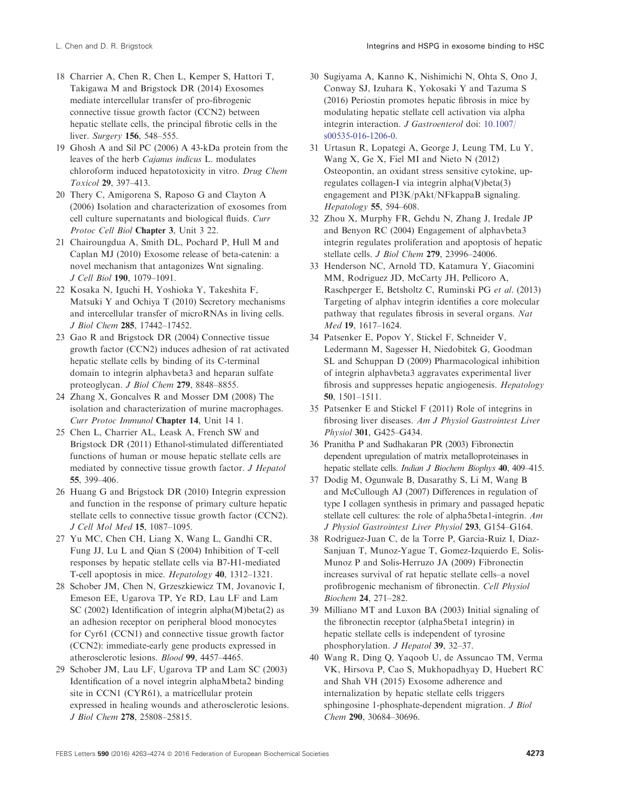- <span id="page-10-0"></span>18 Charrier A, Chen R, Chen L, Kemper S, Hattori T, Takigawa M and Brigstock DR (2014) Exosomes mediate intercellular transfer of pro-fibrogenic connective tissue growth factor (CCN2) between hepatic stellate cells, the principal fibrotic cells in the liver. Surgery 156, 548-555.
- 19 Ghosh A and Sil PC (2006) A 43-kDa protein from the leaves of the herb Cajanus indicus L. modulates chloroform induced hepatotoxicity in vitro. Drug Chem Toxicol 29, 397–413.
- 20 Thery C, Amigorena S, Raposo G and Clayton A (2006) Isolation and characterization of exosomes from cell culture supernatants and biological fluids. Curr Protoc Cell Biol Chapter 3, Unit 3 22.
- 21 Chairoungdua A, Smith DL, Pochard P, Hull M and Caplan MJ (2010) Exosome release of beta-catenin: a novel mechanism that antagonizes Wnt signaling. J Cell Biol 190, 1079–1091.
- 22 Kosaka N, Iguchi H, Yoshioka Y, Takeshita F, Matsuki Y and Ochiya T (2010) Secretory mechanisms and intercellular transfer of microRNAs in living cells. J Biol Chem 285, 17442–17452.
- 23 Gao R and Brigstock DR (2004) Connective tissue growth factor (CCN2) induces adhesion of rat activated hepatic stellate cells by binding of its C-terminal domain to integrin alphavbeta3 and heparan sulfate proteoglycan. J Biol Chem 279, 8848–8855.
- 24 Zhang X, Goncalves R and Mosser DM (2008) The isolation and characterization of murine macrophages. Curr Protoc Immunol Chapter 14, Unit 14 1.
- 25 Chen L, Charrier AL, Leask A, French SW and Brigstock DR (2011) Ethanol-stimulated differentiated functions of human or mouse hepatic stellate cells are mediated by connective tissue growth factor. J Hepatol 55, 399–406.
- 26 Huang G and Brigstock DR (2010) Integrin expression and function in the response of primary culture hepatic stellate cells to connective tissue growth factor (CCN2). J Cell Mol Med 15, 1087–1095.
- 27 Yu MC, Chen CH, Liang X, Wang L, Gandhi CR, Fung JJ, Lu L and Qian S (2004) Inhibition of T-cell responses by hepatic stellate cells via B7-H1-mediated T-cell apoptosis in mice. Hepatology 40, 1312–1321.
- 28 Schober JM, Chen N, Grzeszkiewicz TM, Jovanovic I, Emeson EE, Ugarova TP, Ye RD, Lau LF and Lam SC (2002) Identification of integrin alpha(M)beta(2) as an adhesion receptor on peripheral blood monocytes for Cyr61 (CCN1) and connective tissue growth factor (CCN2): immediate-early gene products expressed in atherosclerotic lesions. Blood 99, 4457–4465.
- 29 Schober JM, Lau LF, Ugarova TP and Lam SC (2003) Identification of a novel integrin alphaMbeta2 binding site in CCN1 (CYR61), a matricellular protein expressed in healing wounds and atherosclerotic lesions. J Biol Chem 278, 25808–25815.
- 30 Sugiyama A, Kanno K, Nishimichi N, Ohta S, Ono J, Conway SJ, Izuhara K, Yokosaki Y and Tazuma S (2016) Periostin promotes hepatic fibrosis in mice by modulating hepatic stellate cell activation via alpha integrin interaction. J Gastroenterol doi: [10.1007/](http://dx.doi.org/10.1007/s00535-016-1206-0) [s00535-016-1206-0](http://dx.doi.org/10.1007/s00535-016-1206-0).
- 31 Urtasun R, Lopategi A, George J, Leung TM, Lu Y, Wang X, Ge X, Fiel MI and Nieto N (2012) Osteopontin, an oxidant stress sensitive cytokine, upregulates collagen-I via integrin alpha(V)beta(3) engagement and PI3K/pAkt/NFkappaB signaling. Hepatology 55, 594–608.
- 32 Zhou X, Murphy FR, Gehdu N, Zhang J, Iredale JP and Benyon RC (2004) Engagement of alphavbeta3 integrin regulates proliferation and apoptosis of hepatic stellate cells. J Biol Chem 279, 23996-24006.
- 33 Henderson NC, Arnold TD, Katamura Y, Giacomini MM, Rodriguez JD, McCarty JH, Pellicoro A, Raschperger E, Betsholtz C, Ruminski PG et al. (2013) Targeting of alphav integrin identifies a core molecular pathway that regulates fibrosis in several organs. Nat Med 19, 1617–1624.
- 34 Patsenker E, Popov Y, Stickel F, Schneider V, Ledermann M, Sagesser H, Niedobitek G, Goodman SL and Schuppan D (2009) Pharmacological inhibition of integrin alphavbeta3 aggravates experimental liver fibrosis and suppresses hepatic angiogenesis. Hepatology 50, 1501–1511.
- 35 Patsenker E and Stickel F (2011) Role of integrins in fibrosing liver diseases. Am J Physiol Gastrointest Liver Physiol 301, G425–G434.
- 36 Pranitha P and Sudhakaran PR (2003) Fibronectin dependent upregulation of matrix metalloproteinases in hepatic stellate cells. Indian J Biochem Biophys 40, 409-415.
- 37 Dodig M, Ogunwale B, Dasarathy S, Li M, Wang B and McCullough AJ (2007) Differences in regulation of type I collagen synthesis in primary and passaged hepatic stellate cell cultures: the role of alpha5beta1-integrin. Am J Physiol Gastrointest Liver Physiol 293, G154–G164.
- 38 Rodriguez-Juan C, de la Torre P, Garcia-Ruiz I, Diaz-Sanjuan T, Munoz-Yague T, Gomez-Izquierdo E, Solis-Munoz P and Solis-Herruzo JA (2009) Fibronectin increases survival of rat hepatic stellate cells–a novel profibrogenic mechanism of fibronectin. Cell Physiol Biochem 24, 271–282.
- 39 Milliano MT and Luxon BA (2003) Initial signaling of the fibronectin receptor (alpha5beta1 integrin) in hepatic stellate cells is independent of tyrosine phosphorylation. J Hepatol 39, 32–37.
- 40 Wang R, Ding Q, Yaqoob U, de Assuncao TM, Verma VK, Hirsova P, Cao S, Mukhopadhyay D, Huebert RC and Shah VH (2015) Exosome adherence and internalization by hepatic stellate cells triggers sphingosine 1-phosphate-dependent migration. J Biol Chem 290, 30684–30696.